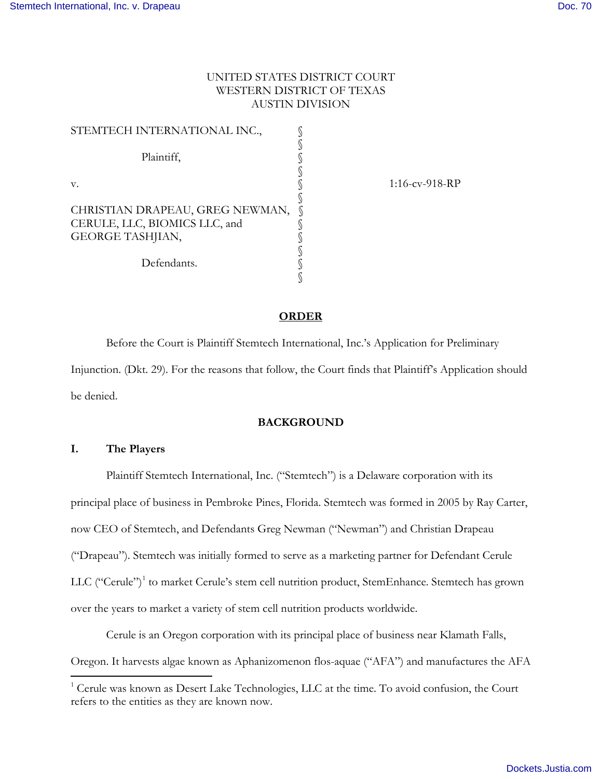# UNITED STATES DISTRICT COURT WESTERN DISTRICT OF TEXAS AUSTIN DIVISION

| STEMTECH INTERNATIONAL INC.,    |  |
|---------------------------------|--|
|                                 |  |
| Plaintiff,                      |  |
|                                 |  |
| V.                              |  |
|                                 |  |
| CHRISTIAN DRAPEAU, GREG NEWMAN, |  |
| CERULE, LLC, BIOMICS LLC, and   |  |
| <b>GEORGE TASHJIAN,</b>         |  |
|                                 |  |
| Defendants.                     |  |
|                                 |  |

1:16-cv-918-RP

### **ORDER**

 Before the Court is Plaintiff Stemtech International, Inc.'s Application for Preliminary Injunction. (Dkt. 29). For the reasons that follow, the Court finds that Plaintiff's Application should be denied.

# **BACKGROUND**

## **I. The Players**

Plaintiff Stemtech International, Inc. ("Stemtech") is a Delaware corporation with its principal place of business in Pembroke Pines, Florida. Stemtech was formed in 2005 by Ray Carter, now CEO of Stemtech, and Defendants Greg Newman ("Newman") and Christian Drapeau ("Drapeau"). Stemtech was initially formed to serve as a marketing partner for Defendant Cerule LLC ("Cerule")<sup>[1](#page-0-0)</sup> to market Cerule's stem cell nutrition product, StemEnhance. Stemtech has grown over the years to market a variety of stem cell nutrition products worldwide.

Cerule is an Oregon corporation with its principal place of business near Klamath Falls, Oregon. It harvests algae known as Aphanizomenon flos-aquae ("AFA") and manufactures the AFA  $\overline{a}$ 

<span id="page-0-0"></span> $1$ <sup>1</sup> Cerule was known as Desert Lake Technologies, LLC at the time. To avoid confusion, the Court refers to the entities as they are known now.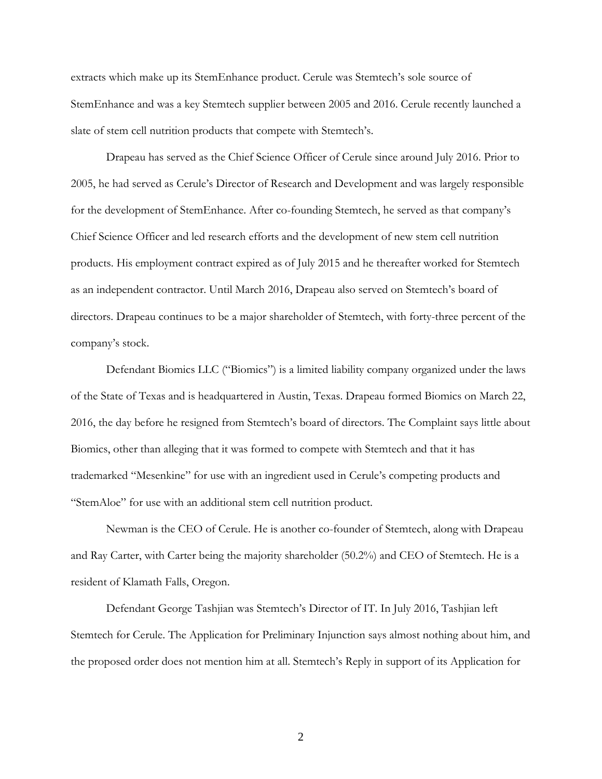extracts which make up its StemEnhance product. Cerule was Stemtech's sole source of StemEnhance and was a key Stemtech supplier between 2005 and 2016. Cerule recently launched a slate of stem cell nutrition products that compete with Stemtech's.

Drapeau has served as the Chief Science Officer of Cerule since around July 2016. Prior to 2005, he had served as Cerule's Director of Research and Development and was largely responsible for the development of StemEnhance. After co-founding Stemtech, he served as that company's Chief Science Officer and led research efforts and the development of new stem cell nutrition products. His employment contract expired as of July 2015 and he thereafter worked for Stemtech as an independent contractor. Until March 2016, Drapeau also served on Stemtech's board of directors. Drapeau continues to be a major shareholder of Stemtech, with forty-three percent of the company's stock.

Defendant Biomics LLC ("Biomics") is a limited liability company organized under the laws of the State of Texas and is headquartered in Austin, Texas. Drapeau formed Biomics on March 22, 2016, the day before he resigned from Stemtech's board of directors. The Complaint says little about Biomics, other than alleging that it was formed to compete with Stemtech and that it has trademarked "Mesenkine" for use with an ingredient used in Cerule's competing products and "StemAloe" for use with an additional stem cell nutrition product.

Newman is the CEO of Cerule. He is another co-founder of Stemtech, along with Drapeau and Ray Carter, with Carter being the majority shareholder (50.2%) and CEO of Stemtech. He is a resident of Klamath Falls, Oregon.

Defendant George Tashjian was Stemtech's Director of IT. In July 2016, Tashjian left Stemtech for Cerule. The Application for Preliminary Injunction says almost nothing about him, and the proposed order does not mention him at all. Stemtech's Reply in support of its Application for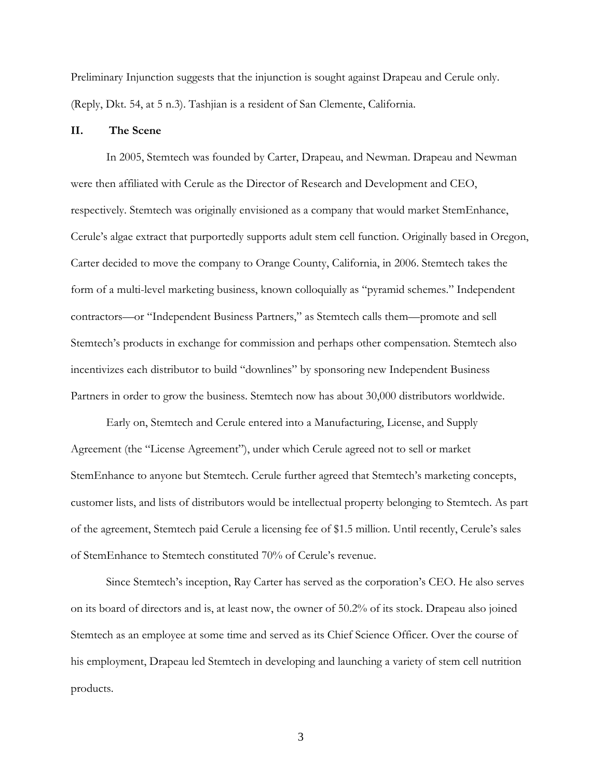Preliminary Injunction suggests that the injunction is sought against Drapeau and Cerule only. (Reply, Dkt. 54, at 5 n.3). Tashjian is a resident of San Clemente, California.

# **II. The Scene**

In 2005, Stemtech was founded by Carter, Drapeau, and Newman. Drapeau and Newman were then affiliated with Cerule as the Director of Research and Development and CEO, respectively. Stemtech was originally envisioned as a company that would market StemEnhance, Cerule's algae extract that purportedly supports adult stem cell function. Originally based in Oregon, Carter decided to move the company to Orange County, California, in 2006. Stemtech takes the form of a multi-level marketing business, known colloquially as "pyramid schemes." Independent contractors—or "Independent Business Partners," as Stemtech calls them—promote and sell Stemtech's products in exchange for commission and perhaps other compensation. Stemtech also incentivizes each distributor to build "downlines" by sponsoring new Independent Business Partners in order to grow the business. Stemtech now has about 30,000 distributors worldwide.

Early on, Stemtech and Cerule entered into a Manufacturing, License, and Supply Agreement (the "License Agreement"), under which Cerule agreed not to sell or market StemEnhance to anyone but Stemtech. Cerule further agreed that Stemtech's marketing concepts, customer lists, and lists of distributors would be intellectual property belonging to Stemtech. As part of the agreement, Stemtech paid Cerule a licensing fee of \$1.5 million. Until recently, Cerule's sales of StemEnhance to Stemtech constituted 70% of Cerule's revenue.

Since Stemtech's inception, Ray Carter has served as the corporation's CEO. He also serves on its board of directors and is, at least now, the owner of 50.2% of its stock. Drapeau also joined Stemtech as an employee at some time and served as its Chief Science Officer. Over the course of his employment, Drapeau led Stemtech in developing and launching a variety of stem cell nutrition products.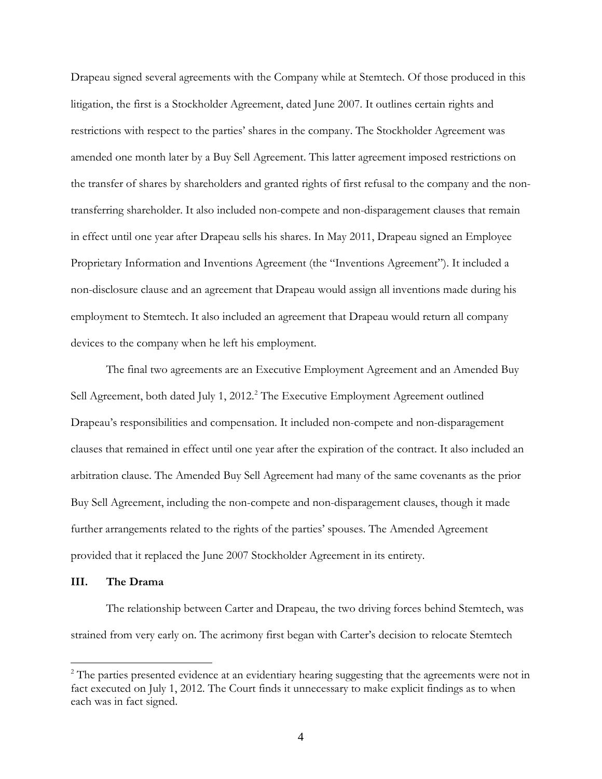Drapeau signed several agreements with the Company while at Stemtech. Of those produced in this litigation, the first is a Stockholder Agreement, dated June 2007. It outlines certain rights and restrictions with respect to the parties' shares in the company. The Stockholder Agreement was amended one month later by a Buy Sell Agreement. This latter agreement imposed restrictions on the transfer of shares by shareholders and granted rights of first refusal to the company and the nontransferring shareholder. It also included non-compete and non-disparagement clauses that remain in effect until one year after Drapeau sells his shares. In May 2011, Drapeau signed an Employee Proprietary Information and Inventions Agreement (the "Inventions Agreement"). It included a non-disclosure clause and an agreement that Drapeau would assign all inventions made during his employment to Stemtech. It also included an agreement that Drapeau would return all company devices to the company when he left his employment.

The final two agreements are an Executive Employment Agreement and an Amended Buy Sell Agreement, both dated July 1, [2](#page-3-0)012.<sup>2</sup> The Executive Employment Agreement outlined Drapeau's responsibilities and compensation. It included non-compete and non-disparagement clauses that remained in effect until one year after the expiration of the contract. It also included an arbitration clause. The Amended Buy Sell Agreement had many of the same covenants as the prior Buy Sell Agreement, including the non-compete and non-disparagement clauses, though it made further arrangements related to the rights of the parties' spouses. The Amended Agreement provided that it replaced the June 2007 Stockholder Agreement in its entirety.

#### **III. The Drama**

 $\overline{a}$ 

The relationship between Carter and Drapeau, the two driving forces behind Stemtech, was strained from very early on. The acrimony first began with Carter's decision to relocate Stemtech

<span id="page-3-0"></span> $2^2$  The parties presented evidence at an evidentiary hearing suggesting that the agreements were not in fact executed on July 1, 2012. The Court finds it unnecessary to make explicit findings as to when each was in fact signed.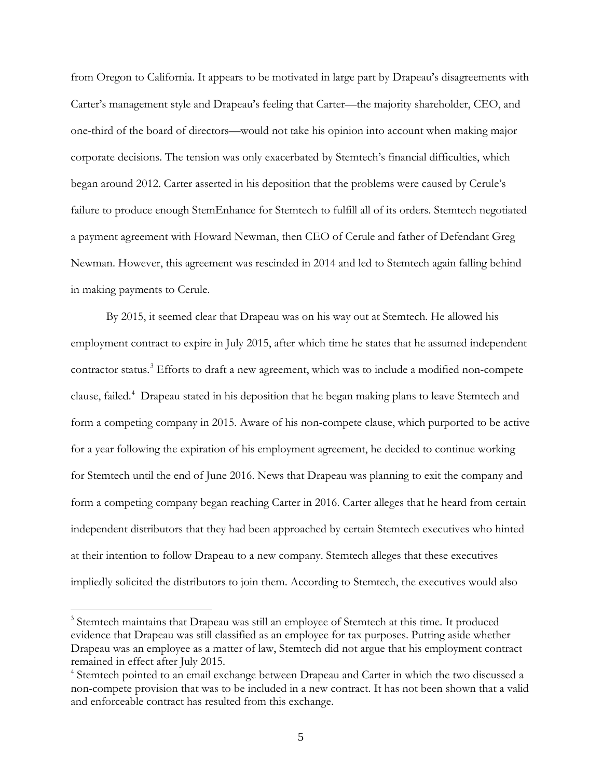from Oregon to California. It appears to be motivated in large part by Drapeau's disagreements with Carter's management style and Drapeau's feeling that Carter—the majority shareholder, CEO, and one-third of the board of directors—would not take his opinion into account when making major corporate decisions. The tension was only exacerbated by Stemtech's financial difficulties, which began around 2012. Carter asserted in his deposition that the problems were caused by Cerule's failure to produce enough StemEnhance for Stemtech to fulfill all of its orders. Stemtech negotiated a payment agreement with Howard Newman, then CEO of Cerule and father of Defendant Greg Newman. However, this agreement was rescinded in 2014 and led to Stemtech again falling behind in making payments to Cerule.

By 2015, it seemed clear that Drapeau was on his way out at Stemtech. He allowed his employment contract to expire in July 2015, after which time he states that he assumed independent contractor status.<sup>[3](#page-4-0)</sup> Efforts to draft a new agreement, which was to include a modified non-compete clause, failed.<sup>[4](#page-4-1)</sup> Drapeau stated in his deposition that he began making plans to leave Stemtech and form a competing company in 2015. Aware of his non-compete clause, which purported to be active for a year following the expiration of his employment agreement, he decided to continue working for Stemtech until the end of June 2016. News that Drapeau was planning to exit the company and form a competing company began reaching Carter in 2016. Carter alleges that he heard from certain independent distributors that they had been approached by certain Stemtech executives who hinted at their intention to follow Drapeau to a new company. Stemtech alleges that these executives impliedly solicited the distributors to join them. According to Stemtech, the executives would also

<span id="page-4-0"></span><sup>&</sup>lt;sup>3</sup> Stemtech maintains that Drapeau was still an employee of Stemtech at this time. It produced evidence that Drapeau was still classified as an employee for tax purposes. Putting aside whether Drapeau was an employee as a matter of law, Stemtech did not argue that his employment contract remained in effect after July 2015.

<span id="page-4-1"></span><sup>&</sup>lt;sup>4</sup> Stemtech pointed to an email exchange between Drapeau and Carter in which the two discussed a non-compete provision that was to be included in a new contract. It has not been shown that a valid and enforceable contract has resulted from this exchange.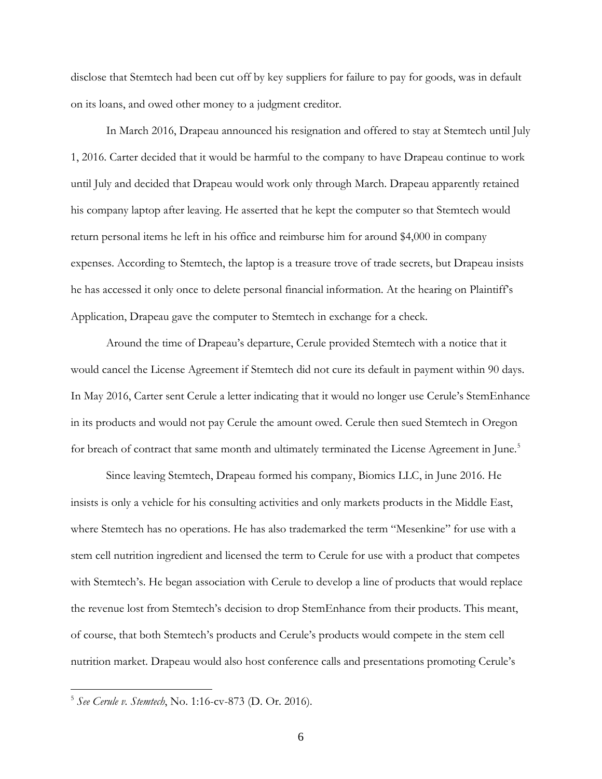disclose that Stemtech had been cut off by key suppliers for failure to pay for goods, was in default on its loans, and owed other money to a judgment creditor.

In March 2016, Drapeau announced his resignation and offered to stay at Stemtech until July 1, 2016. Carter decided that it would be harmful to the company to have Drapeau continue to work until July and decided that Drapeau would work only through March. Drapeau apparently retained his company laptop after leaving. He asserted that he kept the computer so that Stemtech would return personal items he left in his office and reimburse him for around \$4,000 in company expenses. According to Stemtech, the laptop is a treasure trove of trade secrets, but Drapeau insists he has accessed it only once to delete personal financial information. At the hearing on Plaintiff's Application, Drapeau gave the computer to Stemtech in exchange for a check.

Around the time of Drapeau's departure, Cerule provided Stemtech with a notice that it would cancel the License Agreement if Stemtech did not cure its default in payment within 90 days. In May 2016, Carter sent Cerule a letter indicating that it would no longer use Cerule's StemEnhance in its products and would not pay Cerule the amount owed. Cerule then sued Stemtech in Oregon for breach of contract that same month and ultimately terminated the License Agreement in June.<sup>[5](#page-5-0)</sup>

Since leaving Stemtech, Drapeau formed his company, Biomics LLC, in June 2016. He insists is only a vehicle for his consulting activities and only markets products in the Middle East, where Stemtech has no operations. He has also trademarked the term "Mesenkine" for use with a stem cell nutrition ingredient and licensed the term to Cerule for use with a product that competes with Stemtech's. He began association with Cerule to develop a line of products that would replace the revenue lost from Stemtech's decision to drop StemEnhance from their products. This meant, of course, that both Stemtech's products and Cerule's products would compete in the stem cell nutrition market. Drapeau would also host conference calls and presentations promoting Cerule's

<span id="page-5-0"></span><sup>5</sup> *See Cerule v. Stemtech*, No. 1:16-cv-873 (D. Or. 2016).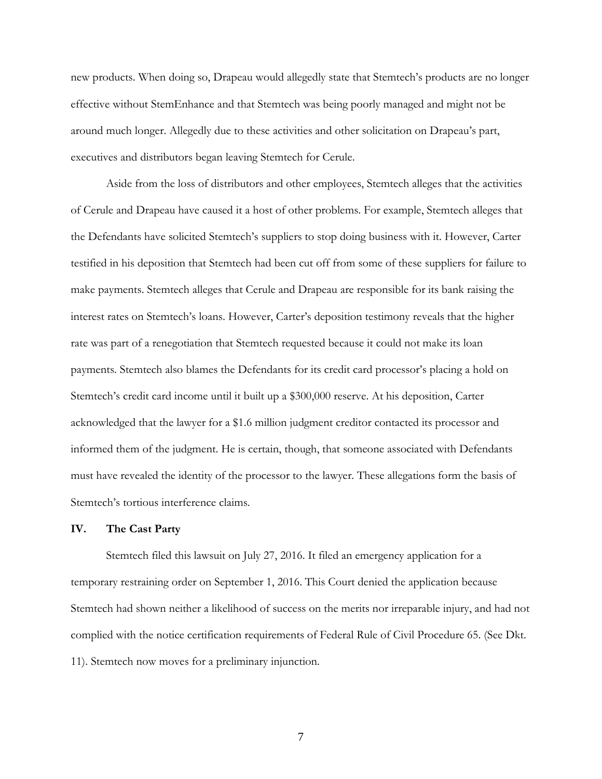new products. When doing so, Drapeau would allegedly state that Stemtech's products are no longer effective without StemEnhance and that Stemtech was being poorly managed and might not be around much longer. Allegedly due to these activities and other solicitation on Drapeau's part, executives and distributors began leaving Stemtech for Cerule.

Aside from the loss of distributors and other employees, Stemtech alleges that the activities of Cerule and Drapeau have caused it a host of other problems. For example, Stemtech alleges that the Defendants have solicited Stemtech's suppliers to stop doing business with it. However, Carter testified in his deposition that Stemtech had been cut off from some of these suppliers for failure to make payments. Stemtech alleges that Cerule and Drapeau are responsible for its bank raising the interest rates on Stemtech's loans. However, Carter's deposition testimony reveals that the higher rate was part of a renegotiation that Stemtech requested because it could not make its loan payments. Stemtech also blames the Defendants for its credit card processor's placing a hold on Stemtech's credit card income until it built up a \$300,000 reserve. At his deposition, Carter acknowledged that the lawyer for a \$1.6 million judgment creditor contacted its processor and informed them of the judgment. He is certain, though, that someone associated with Defendants must have revealed the identity of the processor to the lawyer. These allegations form the basis of Stemtech's tortious interference claims.

#### **IV. The Cast Party**

Stemtech filed this lawsuit on July 27, 2016. It filed an emergency application for a temporary restraining order on September 1, 2016. This Court denied the application because Stemtech had shown neither a likelihood of success on the merits nor irreparable injury, and had not complied with the notice certification requirements of Federal Rule of Civil Procedure 65. (See Dkt. 11). Stemtech now moves for a preliminary injunction.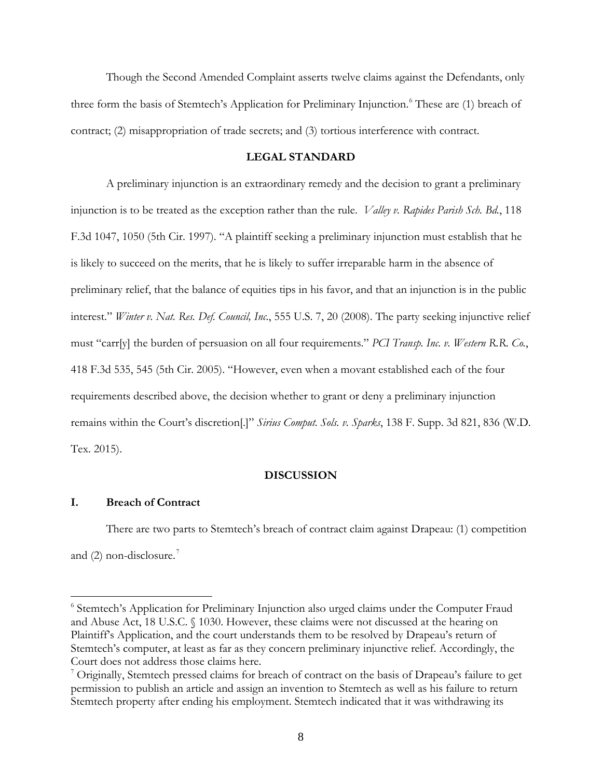Though the Second Amended Complaint asserts twelve claims against the Defendants, only three form the basis of Stemtech's Application for Preliminary Injunction.<sup>[6](#page-7-0)</sup> These are (1) breach of contract; (2) misappropriation of trade secrets; and (3) tortious interference with contract.

# **LEGAL STANDARD**

A preliminary injunction is an extraordinary remedy and the decision to grant a preliminary injunction is to be treated as the exception rather than the rule. *Valley v. Rapides Parish Sch. Bd.*, 118 F.3d 1047, 1050 (5th Cir. 1997). "A plaintiff seeking a preliminary injunction must establish that he is likely to succeed on the merits, that he is likely to suffer irreparable harm in the absence of preliminary relief, that the balance of equities tips in his favor, and that an injunction is in the public interest." *Winter v. Nat. Res. Def. Council, Inc.*, 555 U.S. 7, 20 (2008). The party seeking injunctive relief must "carr[y] the burden of persuasion on all four requirements." *PCI Transp. Inc. v. Western R.R. Co.*, 418 F.3d 535, 545 (5th Cir. 2005). "However, even when a movant established each of the four requirements described above, the decision whether to grant or deny a preliminary injunction remains within the Court's discretion[.]" *Sirius Comput. Sols. v. Sparks*, 138 F. Supp. 3d 821, 836 (W.D. Tex. 2015).

## **DISCUSSION**

### **I. Breach of Contract**

 $\overline{a}$ 

There are two parts to Stemtech's breach of contract claim against Drapeau: (1) competition and  $(2)$  non-disclosure.<sup>[7](#page-7-1)</sup>

<span id="page-7-0"></span><sup>&</sup>lt;sup>6</sup> Stemtech's Application for Preliminary Injunction also urged claims under the Computer Fraud and Abuse Act, 18 U.S.C. § 1030. However, these claims were not discussed at the hearing on Plaintiff's Application, and the court understands them to be resolved by Drapeau's return of Stemtech's computer, at least as far as they concern preliminary injunctive relief. Accordingly, the Court does not address those claims here.

<span id="page-7-1"></span> $<sup>7</sup>$  Originally, Stemtech pressed claims for breach of contract on the basis of Drapeau's failure to get</sup> permission to publish an article and assign an invention to Stemtech as well as his failure to return Stemtech property after ending his employment. Stemtech indicated that it was withdrawing its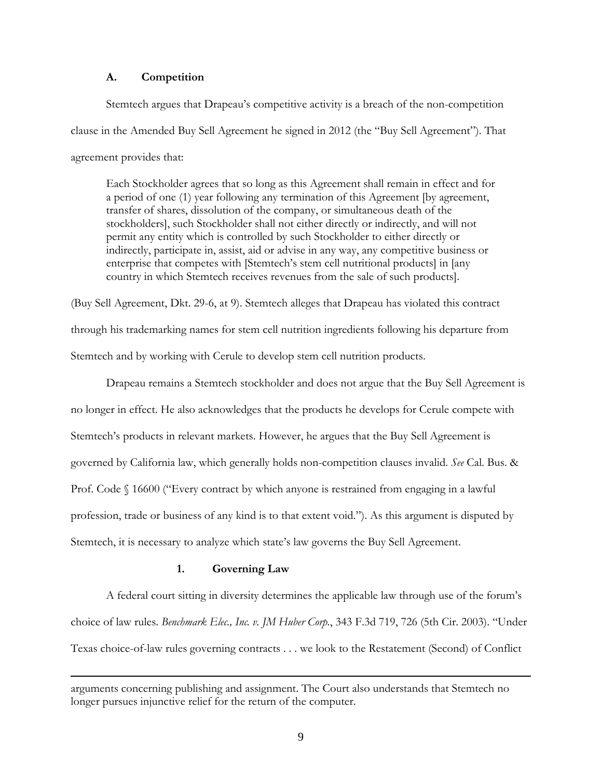# **A. Competition**

Stemtech argues that Drapeau's competitive activity is a breach of the non-competition clause in the Amended Buy Sell Agreement he signed in 2012 (the "Buy Sell Agreement"). That agreement provides that:

Each Stockholder agrees that so long as this Agreement shall remain in effect and for a period of one (1) year following any termination of this Agreement [by agreement, transfer of shares, dissolution of the company, or simultaneous death of the stockholders], such Stockholder shall not either directly or indirectly, and will not permit any entity which is controlled by such Stockholder to either directly or indirectly, participate in, assist, aid or advise in any way, any competitive business or enterprise that competes with [Stemtech's stem cell nutritional products] in [any country in which Stemtech receives revenues from the sale of such products].

(Buy Sell Agreement, Dkt. 29-6, at 9). Stemtech alleges that Drapeau has violated this contract through his trademarking names for stem cell nutrition ingredients following his departure from Stemtech and by working with Cerule to develop stem cell nutrition products.

Drapeau remains a Stemtech stockholder and does not argue that the Buy Sell Agreement is no longer in effect. He also acknowledges that the products he develops for Cerule compete with Stemtech's products in relevant markets. However, he argues that the Buy Sell Agreement is governed by California law, which generally holds non-competition clauses invalid. *See* Cal. Bus. & Prof. Code § 16600 ("Every contract by which anyone is restrained from engaging in a lawful profession, trade or business of any kind is to that extent void."). As this argument is disputed by Stemtech, it is necessary to analyze which state's law governs the Buy Sell Agreement.

# **1. Governing Law**

 $\overline{a}$ 

 A federal court sitting in diversity determines the applicable law through use of the forum's choice of law rules. *Benchmark Elec., Inc. v. JM Huber Corp.*, 343 F.3d 719, 726 (5th Cir. 2003). "Under Texas choice-of-law rules governing contracts . . . we look to the Restatement (Second) of Conflict

arguments concerning publishing and assignment. The Court also understands that Stemtech no longer pursues injunctive relief for the return of the computer.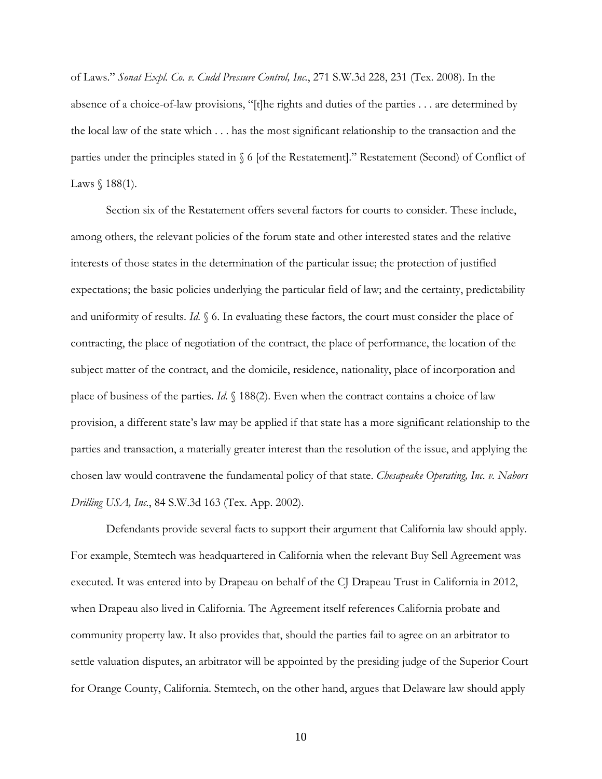of Laws." *Sonat Expl. Co. v. Cudd Pressure Control, Inc.*, 271 S.W.3d 228, 231 (Tex. 2008). In the absence of a choice-of-law provisions, "[t]he rights and duties of the parties . . . are determined by the local law of the state which . . . has the most significant relationship to the transaction and the parties under the principles stated in § 6 [of the Restatement]." Restatement (Second) of Conflict of Laws  $$188(1)$ .

Section six of the Restatement offers several factors for courts to consider. These include, among others, the relevant policies of the forum state and other interested states and the relative interests of those states in the determination of the particular issue; the protection of justified expectations; the basic policies underlying the particular field of law; and the certainty, predictability and uniformity of results. *Id.* § 6. In evaluating these factors, the court must consider the place of contracting, the place of negotiation of the contract, the place of performance, the location of the subject matter of the contract, and the domicile, residence, nationality, place of incorporation and place of business of the parties. *Id.* § 188(2). Even when the contract contains a choice of law provision, a different state's law may be applied if that state has a more significant relationship to the parties and transaction, a materially greater interest than the resolution of the issue, and applying the chosen law would contravene the fundamental policy of that state. *Chesapeake Operating, Inc. v. Nabors Drilling USA, Inc.*, 84 S.W.3d 163 (Tex. App. 2002).

Defendants provide several facts to support their argument that California law should apply. For example, Stemtech was headquartered in California when the relevant Buy Sell Agreement was executed. It was entered into by Drapeau on behalf of the CJ Drapeau Trust in California in 2012, when Drapeau also lived in California. The Agreement itself references California probate and community property law. It also provides that, should the parties fail to agree on an arbitrator to settle valuation disputes, an arbitrator will be appointed by the presiding judge of the Superior Court for Orange County, California. Stemtech, on the other hand, argues that Delaware law should apply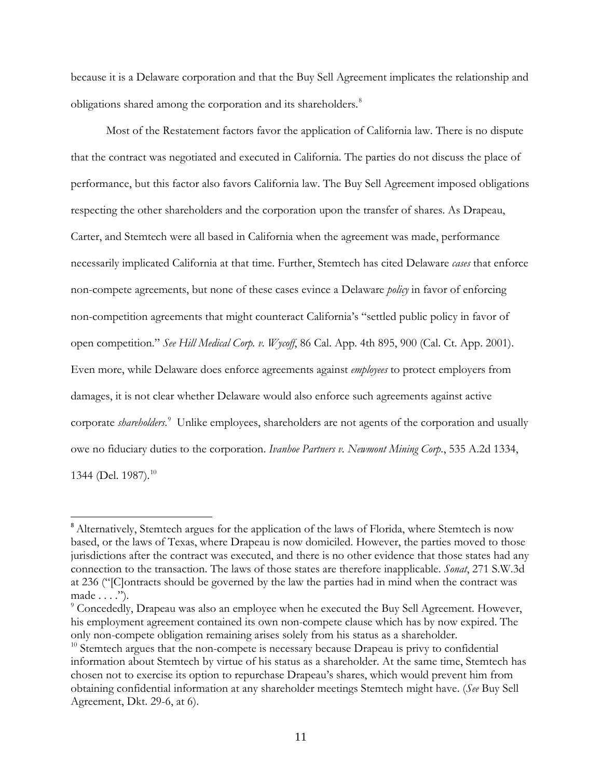because it is a Delaware corporation and that the Buy Sell Agreement implicates the relationship and obligations shared among the corporation and its shareholders.<sup>[8](#page-10-0)</sup>

Most of the Restatement factors favor the application of California law. There is no dispute that the contract was negotiated and executed in California. The parties do not discuss the place of performance, but this factor also favors California law. The Buy Sell Agreement imposed obligations respecting the other shareholders and the corporation upon the transfer of shares. As Drapeau, Carter, and Stemtech were all based in California when the agreement was made, performance necessarily implicated California at that time. Further, Stemtech has cited Delaware *cases* that enforce non-compete agreements, but none of these cases evince a Delaware *policy* in favor of enforcing non-competition agreements that might counteract California's "settled public policy in favor of open competition." *See Hill Medical Corp. v. Wycoff*, 86 Cal. App. 4th 895, 900 (Cal. Ct. App. 2001). Even more, while Delaware does enforce agreements against *employees* to protect employers from damages, it is not clear whether Delaware would also enforce such agreements against active corporate *shareholders*. [9](#page-10-1) Unlike employees, shareholders are not agents of the corporation and usually owe no fiduciary duties to the corporation. *Ivanhoe Partners v. Newmont Mining Corp.*, 535 A.2d 1334, 1344 (Del. 1987).<sup>[10](#page-10-2)</sup>

<span id="page-10-0"></span><sup>&</sup>lt;sup>8</sup> Alternatively, Stemtech argues for the application of the laws of Florida, where Stemtech is now based, or the laws of Texas, where Drapeau is now domiciled. However, the parties moved to those jurisdictions after the contract was executed, and there is no other evidence that those states had any connection to the transaction. The laws of those states are therefore inapplicable. *Sonat*, 271 S.W.3d at 236 ("[C]ontracts should be governed by the law the parties had in mind when the contract was made . . . .").

<span id="page-10-1"></span><sup>&</sup>lt;sup>9</sup> Concededly, Drapeau was also an employee when he executed the Buy Sell Agreement. However, his employment agreement contained its own non-compete clause which has by now expired. The only non-compete obligation remaining arises solely from his status as a shareholder.

<span id="page-10-2"></span> $10$  Stemtech argues that the non-compete is necessary because Drapeau is privy to confidential information about Stemtech by virtue of his status as a shareholder. At the same time, Stemtech has chosen not to exercise its option to repurchase Drapeau's shares, which would prevent him from obtaining confidential information at any shareholder meetings Stemtech might have. (*See* Buy Sell Agreement, Dkt. 29-6, at 6).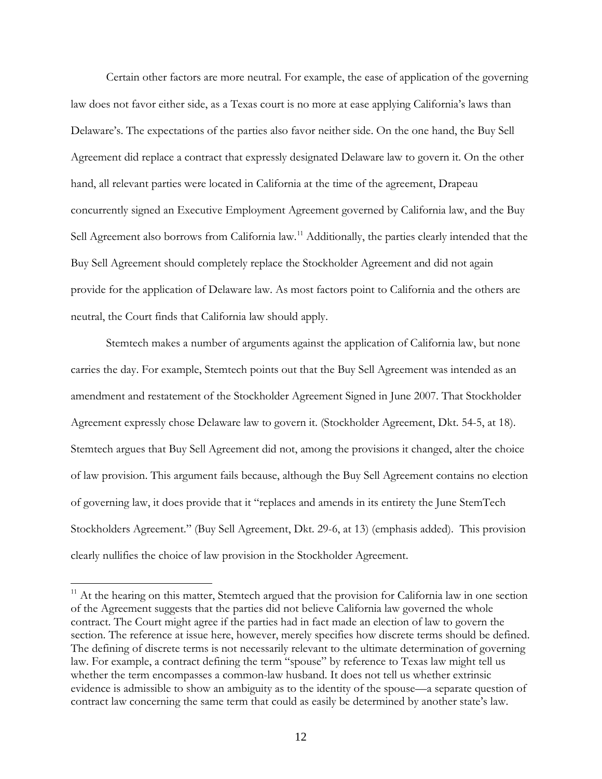Certain other factors are more neutral. For example, the ease of application of the governing law does not favor either side, as a Texas court is no more at ease applying California's laws than Delaware's. The expectations of the parties also favor neither side. On the one hand, the Buy Sell Agreement did replace a contract that expressly designated Delaware law to govern it. On the other hand, all relevant parties were located in California at the time of the agreement, Drapeau concurrently signed an Executive Employment Agreement governed by California law, and the Buy Sell Agreement also borrows from California law.<sup>[11](#page-11-0)</sup> Additionally, the parties clearly intended that the Buy Sell Agreement should completely replace the Stockholder Agreement and did not again provide for the application of Delaware law. As most factors point to California and the others are neutral, the Court finds that California law should apply.

Stemtech makes a number of arguments against the application of California law, but none carries the day. For example, Stemtech points out that the Buy Sell Agreement was intended as an amendment and restatement of the Stockholder Agreement Signed in June 2007. That Stockholder Agreement expressly chose Delaware law to govern it. (Stockholder Agreement, Dkt. 54-5, at 18). Stemtech argues that Buy Sell Agreement did not, among the provisions it changed, alter the choice of law provision. This argument fails because, although the Buy Sell Agreement contains no election of governing law, it does provide that it "replaces and amends in its entirety the June StemTech Stockholders Agreement." (Buy Sell Agreement, Dkt. 29-6, at 13) (emphasis added). This provision clearly nullifies the choice of law provision in the Stockholder Agreement.

<span id="page-11-0"></span><sup>&</sup>lt;sup>11</sup> At the hearing on this matter, Stemtech argued that the provision for California law in one section of the Agreement suggests that the parties did not believe California law governed the whole contract. The Court might agree if the parties had in fact made an election of law to govern the section. The reference at issue here, however, merely specifies how discrete terms should be defined. The defining of discrete terms is not necessarily relevant to the ultimate determination of governing law. For example, a contract defining the term "spouse" by reference to Texas law might tell us whether the term encompasses a common-law husband. It does not tell us whether extrinsic evidence is admissible to show an ambiguity as to the identity of the spouse—a separate question of contract law concerning the same term that could as easily be determined by another state's law.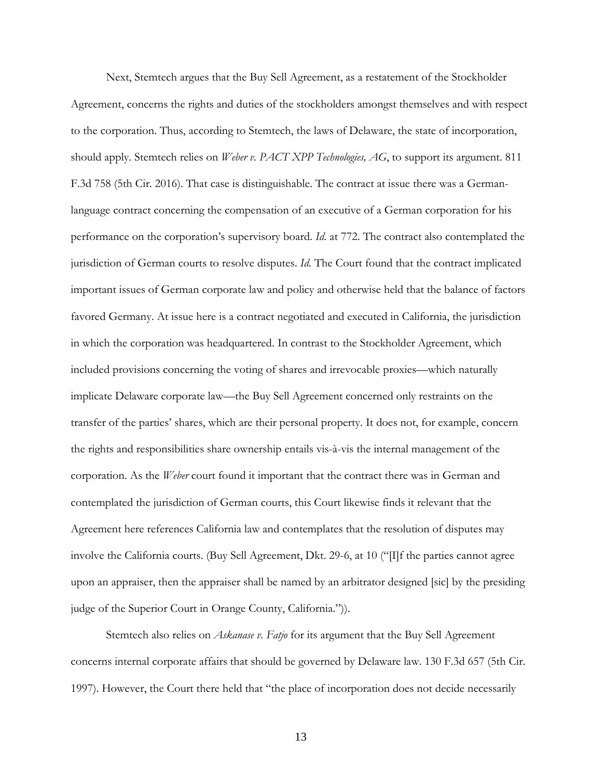Next, Stemtech argues that the Buy Sell Agreement, as a restatement of the Stockholder Agreement, concerns the rights and duties of the stockholders amongst themselves and with respect to the corporation. Thus, according to Stemtech, the laws of Delaware, the state of incorporation, should apply. Stemtech relies on *Weber v. PACT XPP Technologies, AG*, to support its argument. 811 F.3d 758 (5th Cir. 2016). That case is distinguishable. The contract at issue there was a Germanlanguage contract concerning the compensation of an executive of a German corporation for his performance on the corporation's supervisory board. *Id.* at 772. The contract also contemplated the jurisdiction of German courts to resolve disputes. *Id.* The Court found that the contract implicated important issues of German corporate law and policy and otherwise held that the balance of factors favored Germany. At issue here is a contract negotiated and executed in California, the jurisdiction in which the corporation was headquartered. In contrast to the Stockholder Agreement, which included provisions concerning the voting of shares and irrevocable proxies—which naturally implicate Delaware corporate law—the Buy Sell Agreement concerned only restraints on the transfer of the parties' shares, which are their personal property. It does not, for example, concern the rights and responsibilities share ownership entails vis-à-vis the internal management of the corporation. As the *Weber* court found it important that the contract there was in German and contemplated the jurisdiction of German courts, this Court likewise finds it relevant that the Agreement here references California law and contemplates that the resolution of disputes may involve the California courts. (Buy Sell Agreement, Dkt. 29-6, at 10 ("[I]f the parties cannot agree upon an appraiser, then the appraiser shall be named by an arbitrator designed [sic] by the presiding judge of the Superior Court in Orange County, California.")).

Stemtech also relies on *Askanase v. Fatjo* for its argument that the Buy Sell Agreement concerns internal corporate affairs that should be governed by Delaware law. 130 F.3d 657 (5th Cir. 1997). However, the Court there held that "the place of incorporation does not decide necessarily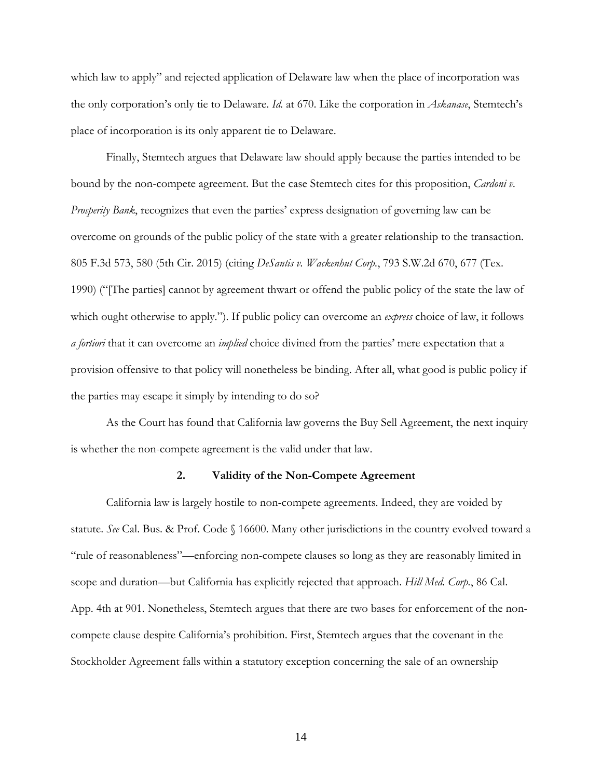which law to apply" and rejected application of Delaware law when the place of incorporation was the only corporation's only tie to Delaware. *Id.* at 670. Like the corporation in *Askanase*, Stemtech's place of incorporation is its only apparent tie to Delaware.

Finally, Stemtech argues that Delaware law should apply because the parties intended to be bound by the non-compete agreement. But the case Stemtech cites for this proposition, *Cardoni v. Prosperity Bank*, recognizes that even the parties' express designation of governing law can be overcome on grounds of the public policy of the state with a greater relationship to the transaction. 805 F.3d 573, 580 (5th Cir. 2015) (citing *DeSantis v. Wackenhut Corp.*, 793 S.W.2d 670, 677 (Tex. 1990) ("[The parties] cannot by agreement thwart or offend the public policy of the state the law of which ought otherwise to apply."). If public policy can overcome an *express* choice of law, it follows *a fortiori* that it can overcome an *implied* choice divined from the parties' mere expectation that a provision offensive to that policy will nonetheless be binding. After all, what good is public policy if the parties may escape it simply by intending to do so?

As the Court has found that California law governs the Buy Sell Agreement, the next inquiry is whether the non-compete agreement is the valid under that law.

# **2. Validity of the Non-Compete Agreement**

California law is largely hostile to non-compete agreements. Indeed, they are voided by statute. *See* Cal. Bus. & Prof. Code § 16600. Many other jurisdictions in the country evolved toward a "rule of reasonableness"—enforcing non-compete clauses so long as they are reasonably limited in scope and duration—but California has explicitly rejected that approach. *Hill Med. Corp.*, 86 Cal. App. 4th at 901. Nonetheless, Stemtech argues that there are two bases for enforcement of the noncompete clause despite California's prohibition. First, Stemtech argues that the covenant in the Stockholder Agreement falls within a statutory exception concerning the sale of an ownership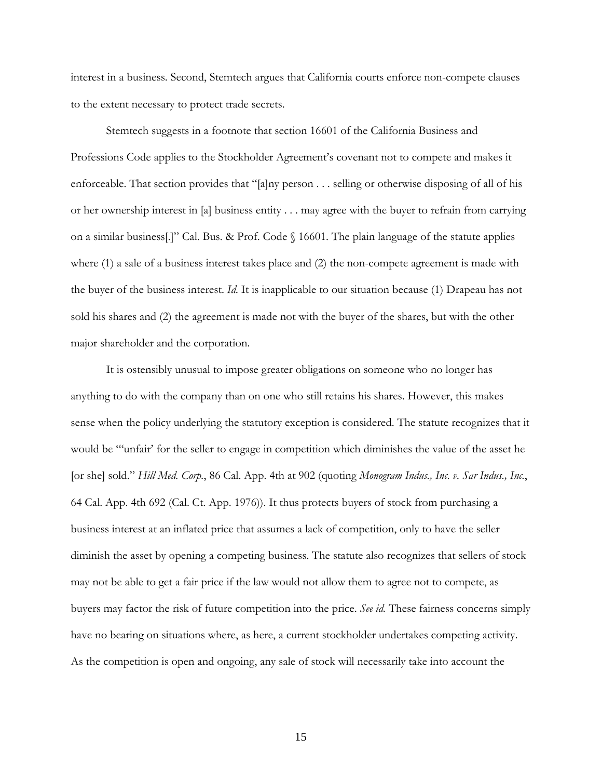interest in a business. Second, Stemtech argues that California courts enforce non-compete clauses to the extent necessary to protect trade secrets.

 Stemtech suggests in a footnote that section 16601 of the California Business and Professions Code applies to the Stockholder Agreement's covenant not to compete and makes it enforceable. That section provides that "[a]ny person . . . selling or otherwise disposing of all of his or her ownership interest in [a] business entity . . . may agree with the buyer to refrain from carrying on a similar business[.]" Cal. Bus. & Prof. Code § 16601. The plain language of the statute applies where (1) a sale of a business interest takes place and (2) the non-compete agreement is made with the buyer of the business interest. *Id.* It is inapplicable to our situation because (1) Drapeau has not sold his shares and (2) the agreement is made not with the buyer of the shares, but with the other major shareholder and the corporation.

 It is ostensibly unusual to impose greater obligations on someone who no longer has anything to do with the company than on one who still retains his shares. However, this makes sense when the policy underlying the statutory exception is considered. The statute recognizes that it would be "'unfair' for the seller to engage in competition which diminishes the value of the asset he [or she] sold." *Hill Med. Corp.*, 86 Cal. App. 4th at 902 (quoting *Monogram Indus., Inc. v. Sar Indus., Inc.*, 64 Cal. App. 4th 692 (Cal. Ct. App. 1976)). It thus protects buyers of stock from purchasing a business interest at an inflated price that assumes a lack of competition, only to have the seller diminish the asset by opening a competing business. The statute also recognizes that sellers of stock may not be able to get a fair price if the law would not allow them to agree not to compete, as buyers may factor the risk of future competition into the price. *See id.* These fairness concerns simply have no bearing on situations where, as here, a current stockholder undertakes competing activity. As the competition is open and ongoing, any sale of stock will necessarily take into account the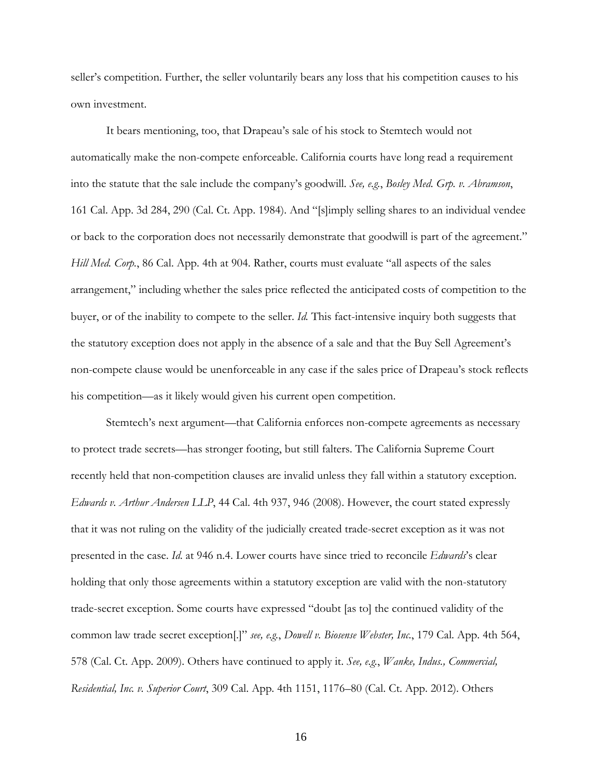seller's competition. Further, the seller voluntarily bears any loss that his competition causes to his own investment.

 It bears mentioning, too, that Drapeau's sale of his stock to Stemtech would not automatically make the non-compete enforceable. California courts have long read a requirement into the statute that the sale include the company's goodwill. *See, e.g.*, *Bosley Med. Grp. v. Abramson*, 161 Cal. App. 3d 284, 290 (Cal. Ct. App. 1984). And "[s]imply selling shares to an individual vendee or back to the corporation does not necessarily demonstrate that goodwill is part of the agreement." *Hill Med. Corp.*, 86 Cal. App. 4th at 904. Rather, courts must evaluate "all aspects of the sales arrangement," including whether the sales price reflected the anticipated costs of competition to the buyer, or of the inability to compete to the seller. *Id.* This fact-intensive inquiry both suggests that the statutory exception does not apply in the absence of a sale and that the Buy Sell Agreement's non-compete clause would be unenforceable in any case if the sales price of Drapeau's stock reflects his competition—as it likely would given his current open competition.

Stemtech's next argument—that California enforces non-compete agreements as necessary to protect trade secrets—has stronger footing, but still falters. The California Supreme Court recently held that non-competition clauses are invalid unless they fall within a statutory exception. *Edwards v. Arthur Andersen LLP*, 44 Cal. 4th 937, 946 (2008). However, the court stated expressly that it was not ruling on the validity of the judicially created trade-secret exception as it was not presented in the case. *Id.* at 946 n.4. Lower courts have since tried to reconcile *Edwards*'s clear holding that only those agreements within a statutory exception are valid with the non-statutory trade-secret exception. Some courts have expressed "doubt [as to] the continued validity of the common law trade secret exception[.]" *see, e.g.*, *Dowell v. Biosense Webster, Inc.*, 179 Cal. App. 4th 564, 578 (Cal. Ct. App. 2009). Others have continued to apply it. *See, e.g.*, *Wanke, Indus., Commercial, Residential, Inc. v. Superior Court*, 309 Cal. App. 4th 1151, 1176–80 (Cal. Ct. App. 2012). Others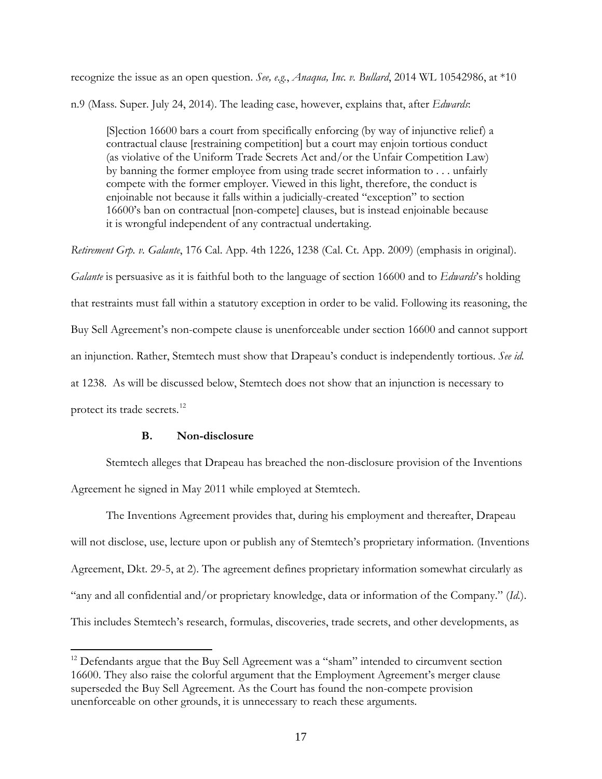recognize the issue as an open question. *See, e.g.*, *Anaqua, Inc. v. Bullard*, 2014 WL 10542986, at \*10 n.9 (Mass. Super. July 24, 2014). The leading case, however, explains that, after *Edwards*:

[S]ection 16600 bars a court from specifically enforcing (by way of injunctive relief) a contractual clause [restraining competition] but a court may enjoin tortious conduct (as violative of the Uniform Trade Secrets Act and/or the Unfair Competition Law) by banning the former employee from using trade secret information to . . . unfairly compete with the former employer. Viewed in this light, therefore, the conduct is enjoinable not because it falls within a judicially-created "exception" to section 16600's ban on contractual [non-compete] clauses, but is instead enjoinable because it is wrongful independent of any contractual undertaking.

*Retirement Grp. v. Galante*, 176 Cal. App. 4th 1226, 1238 (Cal. Ct. App. 2009) (emphasis in original). *Galante* is persuasive as it is faithful both to the language of section 16600 and to *Edwards*'s holding that restraints must fall within a statutory exception in order to be valid. Following its reasoning, the Buy Sell Agreement's non-compete clause is unenforceable under section 16600 and cannot support an injunction. Rather, Stemtech must show that Drapeau's conduct is independently tortious. *See id.* at 1238. As will be discussed below, Stemtech does not show that an injunction is necessary to protect its trade secrets.<sup>[12](#page-16-0)</sup>

# **B. Non-disclosure**

 $\overline{a}$ 

Stemtech alleges that Drapeau has breached the non-disclosure provision of the Inventions Agreement he signed in May 2011 while employed at Stemtech.

The Inventions Agreement provides that, during his employment and thereafter, Drapeau will not disclose, use, lecture upon or publish any of Stemtech's proprietary information. (Inventions Agreement, Dkt. 29-5, at 2). The agreement defines proprietary information somewhat circularly as "any and all confidential and/or proprietary knowledge, data or information of the Company." (*Id.*). This includes Stemtech's research, formulas, discoveries, trade secrets, and other developments, as

<span id="page-16-0"></span><sup>&</sup>lt;sup>12</sup> Defendants argue that the Buy Sell Agreement was a "sham" intended to circumvent section 16600. They also raise the colorful argument that the Employment Agreement's merger clause superseded the Buy Sell Agreement. As the Court has found the non-compete provision unenforceable on other grounds, it is unnecessary to reach these arguments.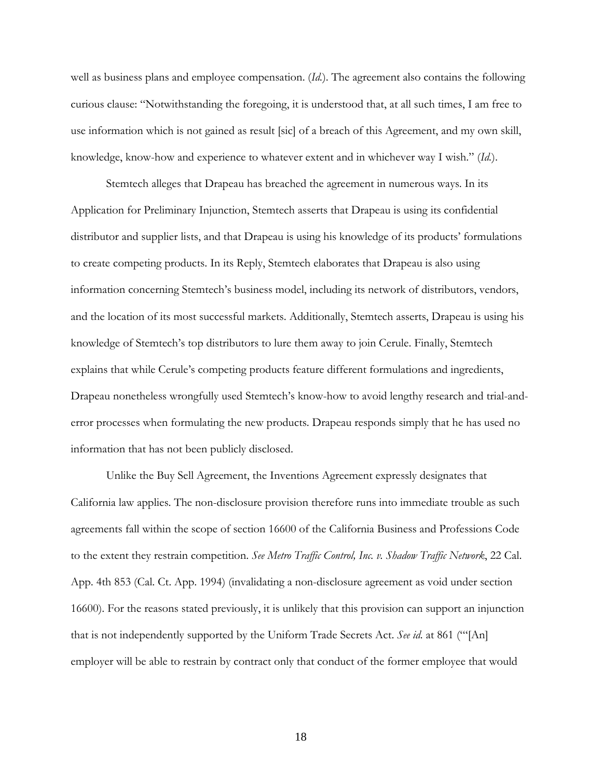well as business plans and employee compensation. (*Id.*). The agreement also contains the following curious clause: "Notwithstanding the foregoing, it is understood that, at all such times, I am free to use information which is not gained as result [sic] of a breach of this Agreement, and my own skill, knowledge, know-how and experience to whatever extent and in whichever way I wish." (*Id.*).

Stemtech alleges that Drapeau has breached the agreement in numerous ways. In its Application for Preliminary Injunction, Stemtech asserts that Drapeau is using its confidential distributor and supplier lists, and that Drapeau is using his knowledge of its products' formulations to create competing products. In its Reply, Stemtech elaborates that Drapeau is also using information concerning Stemtech's business model, including its network of distributors, vendors, and the location of its most successful markets. Additionally, Stemtech asserts, Drapeau is using his knowledge of Stemtech's top distributors to lure them away to join Cerule. Finally, Stemtech explains that while Cerule's competing products feature different formulations and ingredients, Drapeau nonetheless wrongfully used Stemtech's know-how to avoid lengthy research and trial-anderror processes when formulating the new products. Drapeau responds simply that he has used no information that has not been publicly disclosed.

Unlike the Buy Sell Agreement, the Inventions Agreement expressly designates that California law applies. The non-disclosure provision therefore runs into immediate trouble as such agreements fall within the scope of section 16600 of the California Business and Professions Code to the extent they restrain competition. *See Metro Traffic Control, Inc. v. Shadow Traffic Network*, 22 Cal. App. 4th 853 (Cal. Ct. App. 1994) (invalidating a non-disclosure agreement as void under section 16600). For the reasons stated previously, it is unlikely that this provision can support an injunction that is not independently supported by the Uniform Trade Secrets Act. *See id.* at 861 ("'[An] employer will be able to restrain by contract only that conduct of the former employee that would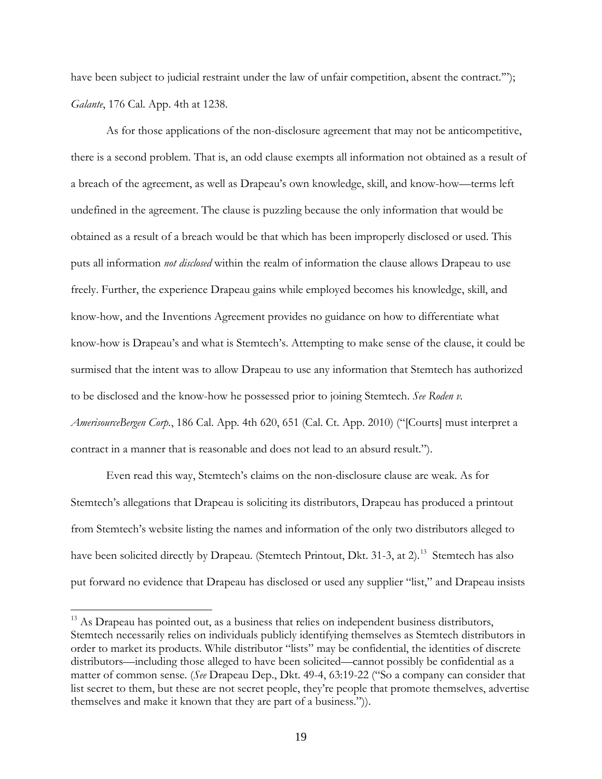have been subject to judicial restraint under the law of unfair competition, absent the contract."'); *Galante*, 176 Cal. App. 4th at 1238.

As for those applications of the non-disclosure agreement that may not be anticompetitive, there is a second problem. That is, an odd clause exempts all information not obtained as a result of a breach of the agreement, as well as Drapeau's own knowledge, skill, and know-how—terms left undefined in the agreement. The clause is puzzling because the only information that would be obtained as a result of a breach would be that which has been improperly disclosed or used. This puts all information *not disclosed* within the realm of information the clause allows Drapeau to use freely. Further, the experience Drapeau gains while employed becomes his knowledge, skill, and know-how, and the Inventions Agreement provides no guidance on how to differentiate what know-how is Drapeau's and what is Stemtech's. Attempting to make sense of the clause, it could be surmised that the intent was to allow Drapeau to use any information that Stemtech has authorized to be disclosed and the know-how he possessed prior to joining Stemtech. *See Roden v. AmerisourceBergen Corp.*, 186 Cal. App. 4th 620, 651 (Cal. Ct. App. 2010) ("[Courts] must interpret a contract in a manner that is reasonable and does not lead to an absurd result.").

Even read this way, Stemtech's claims on the non-disclosure clause are weak. As for Stemtech's allegations that Drapeau is soliciting its distributors, Drapeau has produced a printout from Stemtech's website listing the names and information of the only two distributors alleged to have been solicited directly by Drapeau. (Stemtech Printout, Dkt. 31-3, at 2).<sup>[13](#page-18-0)</sup> Stemtech has also put forward no evidence that Drapeau has disclosed or used any supplier "list," and Drapeau insists

<span id="page-18-0"></span> $13$  As Drapeau has pointed out, as a business that relies on independent business distributors, Stemtech necessarily relies on individuals publicly identifying themselves as Stemtech distributors in order to market its products. While distributor "lists" may be confidential, the identities of discrete distributors—including those alleged to have been solicited—cannot possibly be confidential as a matter of common sense. (*See* Drapeau Dep., Dkt. 49-4, 63:19-22 ("So a company can consider that list secret to them, but these are not secret people, they're people that promote themselves, advertise themselves and make it known that they are part of a business.")).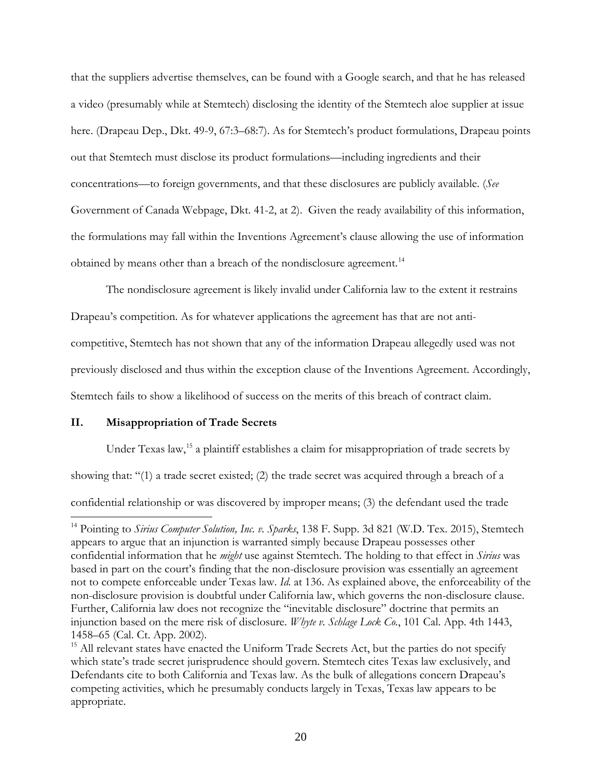that the suppliers advertise themselves, can be found with a Google search, and that he has released a video (presumably while at Stemtech) disclosing the identity of the Stemtech aloe supplier at issue here. (Drapeau Dep., Dkt. 49-9, 67:3–68:7). As for Stemtech's product formulations, Drapeau points out that Stemtech must disclose its product formulations—including ingredients and their concentrations—to foreign governments, and that these disclosures are publicly available. (*See* Government of Canada Webpage, Dkt. 41-2, at 2). Given the ready availability of this information, the formulations may fall within the Inventions Agreement's clause allowing the use of information obtained by means other than a breach of the nondisclosure agreement.<sup>[14](#page-19-0)</sup>

The nondisclosure agreement is likely invalid under California law to the extent it restrains Drapeau's competition. As for whatever applications the agreement has that are not anticompetitive, Stemtech has not shown that any of the information Drapeau allegedly used was not previously disclosed and thus within the exception clause of the Inventions Agreement. Accordingly, Stemtech fails to show a likelihood of success on the merits of this breach of contract claim.

# **II. Misappropriation of Trade Secrets**

Under Texas law,<sup>[15](#page-19-1)</sup> a plaintiff establishes a claim for misappropriation of trade secrets by

showing that: "(1) a trade secret existed; (2) the trade secret was acquired through a breach of a

confidential relationship or was discovered by improper means; (3) the defendant used the trade  $\overline{a}$ 

<span id="page-19-0"></span><sup>&</sup>lt;sup>14</sup> Pointing to *Sirius Computer Solution, Inc. v. Sparks*, 138 F. Supp. 3d 821 (W.D. Tex. 2015), Stemtech appears to argue that an injunction is warranted simply because Drapeau possesses other confidential information that he *might* use against Stemtech. The holding to that effect in *Sirius* was based in part on the court's finding that the non-disclosure provision was essentially an agreement not to compete enforceable under Texas law. *Id.* at 136. As explained above, the enforceability of the non-disclosure provision is doubtful under California law, which governs the non-disclosure clause. Further, California law does not recognize the "inevitable disclosure" doctrine that permits an injunction based on the mere risk of disclosure. *Whyte v. Schlage Lock Co.*, 101 Cal. App. 4th 1443, 1458–65 (Cal. Ct. App. 2002).

<span id="page-19-1"></span> $15$  All relevant states have enacted the Uniform Trade Secrets Act, but the parties do not specify which state's trade secret jurisprudence should govern. Stemtech cites Texas law exclusively, and Defendants cite to both California and Texas law. As the bulk of allegations concern Drapeau's competing activities, which he presumably conducts largely in Texas, Texas law appears to be appropriate.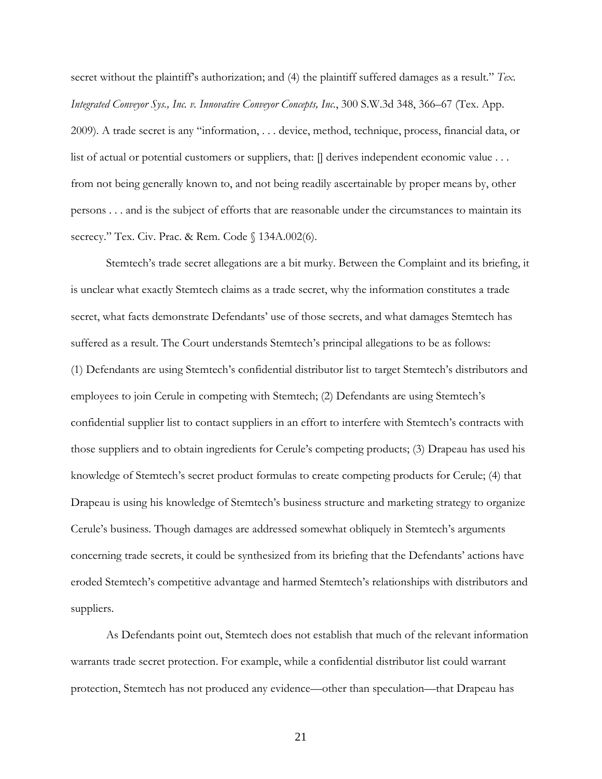secret without the plaintiff's authorization; and (4) the plaintiff suffered damages as a result." *Tex. Integrated Conveyor Sys., Inc. v. Innovative Conveyor Concepts, Inc.*, 300 S.W.3d 348, 366–67 (Tex. App. 2009). A trade secret is any "information, . . . device, method, technique, process, financial data, or list of actual or potential customers or suppliers, that:  $\parallel$  derives independent economic value . . . from not being generally known to, and not being readily ascertainable by proper means by, other persons . . . and is the subject of efforts that are reasonable under the circumstances to maintain its secrecy." Tex. Civ. Prac. & Rem. Code § 134A.002(6).

Stemtech's trade secret allegations are a bit murky. Between the Complaint and its briefing, it is unclear what exactly Stemtech claims as a trade secret, why the information constitutes a trade secret, what facts demonstrate Defendants' use of those secrets, and what damages Stemtech has suffered as a result. The Court understands Stemtech's principal allegations to be as follows: (1) Defendants are using Stemtech's confidential distributor list to target Stemtech's distributors and employees to join Cerule in competing with Stemtech; (2) Defendants are using Stemtech's confidential supplier list to contact suppliers in an effort to interfere with Stemtech's contracts with those suppliers and to obtain ingredients for Cerule's competing products; (3) Drapeau has used his knowledge of Stemtech's secret product formulas to create competing products for Cerule; (4) that Drapeau is using his knowledge of Stemtech's business structure and marketing strategy to organize Cerule's business. Though damages are addressed somewhat obliquely in Stemtech's arguments concerning trade secrets, it could be synthesized from its briefing that the Defendants' actions have eroded Stemtech's competitive advantage and harmed Stemtech's relationships with distributors and suppliers.

As Defendants point out, Stemtech does not establish that much of the relevant information warrants trade secret protection. For example, while a confidential distributor list could warrant protection, Stemtech has not produced any evidence—other than speculation—that Drapeau has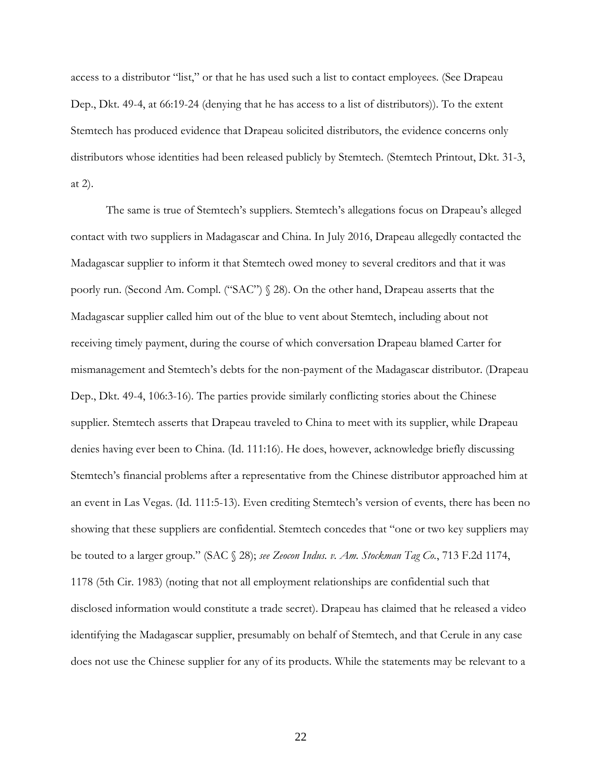access to a distributor "list," or that he has used such a list to contact employees. (See Drapeau Dep., Dkt. 49-4, at 66:19-24 (denying that he has access to a list of distributors)). To the extent Stemtech has produced evidence that Drapeau solicited distributors, the evidence concerns only distributors whose identities had been released publicly by Stemtech. (Stemtech Printout, Dkt. 31-3, at 2).

The same is true of Stemtech's suppliers. Stemtech's allegations focus on Drapeau's alleged contact with two suppliers in Madagascar and China. In July 2016, Drapeau allegedly contacted the Madagascar supplier to inform it that Stemtech owed money to several creditors and that it was poorly run. (Second Am. Compl. ("SAC") § 28). On the other hand, Drapeau asserts that the Madagascar supplier called him out of the blue to vent about Stemtech, including about not receiving timely payment, during the course of which conversation Drapeau blamed Carter for mismanagement and Stemtech's debts for the non-payment of the Madagascar distributor. (Drapeau Dep., Dkt. 49-4, 106:3-16). The parties provide similarly conflicting stories about the Chinese supplier. Stemtech asserts that Drapeau traveled to China to meet with its supplier, while Drapeau denies having ever been to China. (Id. 111:16). He does, however, acknowledge briefly discussing Stemtech's financial problems after a representative from the Chinese distributor approached him at an event in Las Vegas. (Id. 111:5-13). Even crediting Stemtech's version of events, there has been no showing that these suppliers are confidential. Stemtech concedes that "one or two key suppliers may be touted to a larger group." (SAC § 28); *see Zeocon Indus. v. Am. Stockman Tag Co.*, 713 F.2d 1174, 1178 (5th Cir. 1983) (noting that not all employment relationships are confidential such that disclosed information would constitute a trade secret). Drapeau has claimed that he released a video identifying the Madagascar supplier, presumably on behalf of Stemtech, and that Cerule in any case does not use the Chinese supplier for any of its products. While the statements may be relevant to a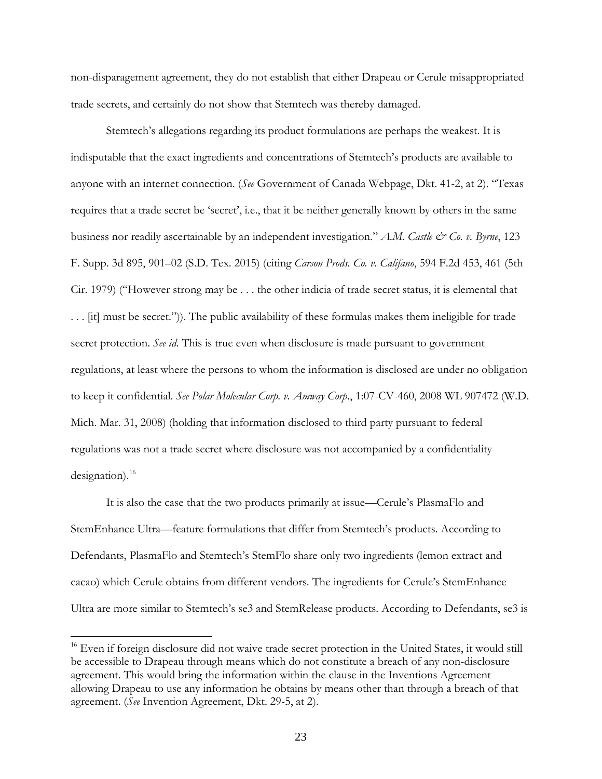non-disparagement agreement, they do not establish that either Drapeau or Cerule misappropriated trade secrets, and certainly do not show that Stemtech was thereby damaged.

Stemtech's allegations regarding its product formulations are perhaps the weakest. It is indisputable that the exact ingredients and concentrations of Stemtech's products are available to anyone with an internet connection. (*See* Government of Canada Webpage, Dkt. 41-2, at 2). "Texas requires that a trade secret be 'secret', i.e., that it be neither generally known by others in the same business nor readily ascertainable by an independent investigation." *A.M. Castle & Co. v. Byrne*, 123 F. Supp. 3d 895, 901–02 (S.D. Tex. 2015) (citing *Carson Prods. Co. v. Califano*, 594 F.2d 453, 461 (5th Cir. 1979) ("However strong may be . . . the other indicia of trade secret status, it is elemental that . . . [it] must be secret.")). The public availability of these formulas makes them ineligible for trade secret protection. *See id.* This is true even when disclosure is made pursuant to government regulations, at least where the persons to whom the information is disclosed are under no obligation to keep it confidential. *See Polar Molecular Corp. v. Amway Corp.*, 1:07-CV-460, 2008 WL 907472 (W.D. Mich. Mar. 31, 2008) (holding that information disclosed to third party pursuant to federal regulations was not a trade secret where disclosure was not accompanied by a confidentiality designation). $^{16}$  $^{16}$  $^{16}$ 

It is also the case that the two products primarily at issue—Cerule's PlasmaFlo and StemEnhance Ultra—feature formulations that differ from Stemtech's products. According to Defendants, PlasmaFlo and Stemtech's StemFlo share only two ingredients (lemon extract and cacao) which Cerule obtains from different vendors. The ingredients for Cerule's StemEnhance Ultra are more similar to Stemtech's se3 and StemRelease products. According to Defendants, se3 is

<span id="page-22-0"></span><sup>&</sup>lt;sup>16</sup> Even if foreign disclosure did not waive trade secret protection in the United States, it would still be accessible to Drapeau through means which do not constitute a breach of any non-disclosure agreement. This would bring the information within the clause in the Inventions Agreement allowing Drapeau to use any information he obtains by means other than through a breach of that agreement. (*See* Invention Agreement, Dkt. 29-5, at 2).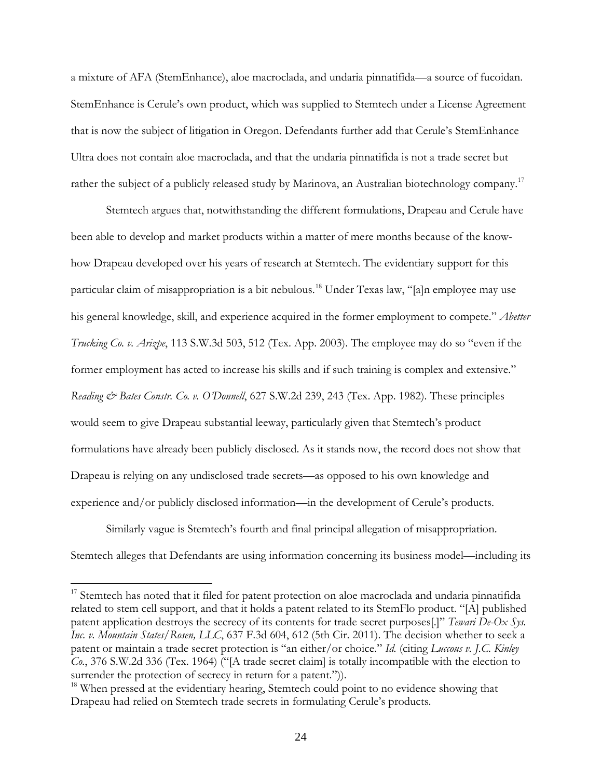a mixture of AFA (StemEnhance), aloe macroclada, and undaria pinnatifida—a source of fucoidan. StemEnhance is Cerule's own product, which was supplied to Stemtech under a License Agreement that is now the subject of litigation in Oregon. Defendants further add that Cerule's StemEnhance Ultra does not contain aloe macroclada, and that the undaria pinnatifida is not a trade secret but rather the subject of a publicly released study by Marinova, an Australian biotechnology company.<sup>[17](#page-23-0)</sup>

Stemtech argues that, notwithstanding the different formulations, Drapeau and Cerule have been able to develop and market products within a matter of mere months because of the knowhow Drapeau developed over his years of research at Stemtech. The evidentiary support for this particular claim of misappropriation is a bit nebulous.[18](#page-23-1) Under Texas law, "[a]n employee may use his general knowledge, skill, and experience acquired in the former employment to compete." *Abetter Trucking Co. v. Arizpe*, 113 S.W.3d 503, 512 (Tex. App. 2003). The employee may do so "even if the former employment has acted to increase his skills and if such training is complex and extensive." *Reading & Bates Constr. Co. v. O'Donnell*, 627 S.W.2d 239, 243 (Tex. App. 1982). These principles would seem to give Drapeau substantial leeway, particularly given that Stemtech's product formulations have already been publicly disclosed. As it stands now, the record does not show that Drapeau is relying on any undisclosed trade secrets—as opposed to his own knowledge and experience and/or publicly disclosed information—in the development of Cerule's products.

Similarly vague is Stemtech's fourth and final principal allegation of misappropriation. Stemtech alleges that Defendants are using information concerning its business model—including its

<span id="page-23-0"></span><sup>&</sup>lt;sup>17</sup> Stemtech has noted that it filed for patent protection on aloe macroclada and undaria pinnatifida related to stem cell support, and that it holds a patent related to its StemFlo product. "[A] published patent application destroys the secrecy of its contents for trade secret purposes[.]" *Tewari De-Ox Sys. Inc. v. Mountain States/Rosen, LLC*, 637 F.3d 604, 612 (5th Cir. 2011). The decision whether to seek a patent or maintain a trade secret protection is "an either/or choice." *Id.* (citing *Luccous v. J.C. Kinley Co.*, 376 S.W.2d 336 (Tex. 1964) ("[A trade secret claim] is totally incompatible with the election to surrender the protection of secrecy in return for a patent.")).

<span id="page-23-1"></span> $18$  When pressed at the evidentiary hearing, Stemtech could point to no evidence showing that Drapeau had relied on Stemtech trade secrets in formulating Cerule's products.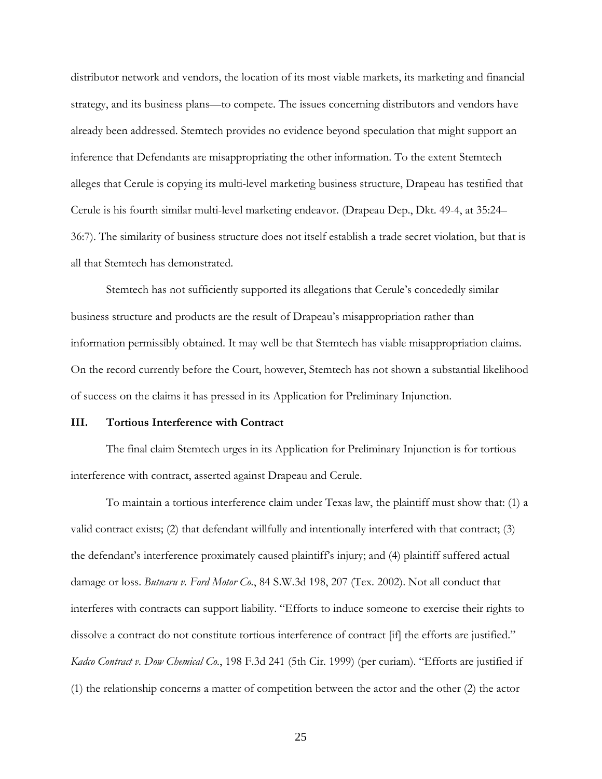distributor network and vendors, the location of its most viable markets, its marketing and financial strategy, and its business plans—to compete. The issues concerning distributors and vendors have already been addressed. Stemtech provides no evidence beyond speculation that might support an inference that Defendants are misappropriating the other information. To the extent Stemtech alleges that Cerule is copying its multi-level marketing business structure, Drapeau has testified that Cerule is his fourth similar multi-level marketing endeavor. (Drapeau Dep., Dkt. 49-4, at 35:24– 36:7). The similarity of business structure does not itself establish a trade secret violation, but that is all that Stemtech has demonstrated.

Stemtech has not sufficiently supported its allegations that Cerule's concededly similar business structure and products are the result of Drapeau's misappropriation rather than information permissibly obtained. It may well be that Stemtech has viable misappropriation claims. On the record currently before the Court, however, Stemtech has not shown a substantial likelihood of success on the claims it has pressed in its Application for Preliminary Injunction.

# **III. Tortious Interference with Contract**

The final claim Stemtech urges in its Application for Preliminary Injunction is for tortious interference with contract, asserted against Drapeau and Cerule.

To maintain a tortious interference claim under Texas law, the plaintiff must show that: (1) a valid contract exists; (2) that defendant willfully and intentionally interfered with that contract; (3) the defendant's interference proximately caused plaintiff's injury; and (4) plaintiff suffered actual damage or loss. *Butnaru v. Ford Motor Co.*, 84 S.W.3d 198, 207 (Tex. 2002). Not all conduct that interferes with contracts can support liability. "Efforts to induce someone to exercise their rights to dissolve a contract do not constitute tortious interference of contract [if] the efforts are justified." *Kadco Contract v. Dow Chemical Co.*, 198 F.3d 241 (5th Cir. 1999) (per curiam). "Efforts are justified if (1) the relationship concerns a matter of competition between the actor and the other (2) the actor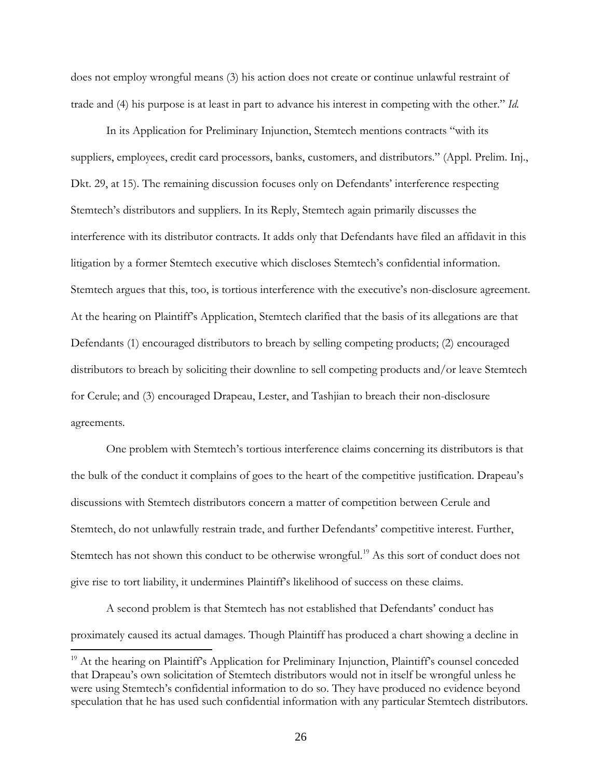does not employ wrongful means (3) his action does not create or continue unlawful restraint of trade and (4) his purpose is at least in part to advance his interest in competing with the other." *Id.* 

In its Application for Preliminary Injunction, Stemtech mentions contracts "with its suppliers, employees, credit card processors, banks, customers, and distributors." (Appl. Prelim. Inj., Dkt. 29, at 15). The remaining discussion focuses only on Defendants' interference respecting Stemtech's distributors and suppliers. In its Reply, Stemtech again primarily discusses the interference with its distributor contracts. It adds only that Defendants have filed an affidavit in this litigation by a former Stemtech executive which discloses Stemtech's confidential information. Stemtech argues that this, too, is tortious interference with the executive's non-disclosure agreement. At the hearing on Plaintiff's Application, Stemtech clarified that the basis of its allegations are that Defendants (1) encouraged distributors to breach by selling competing products; (2) encouraged distributors to breach by soliciting their downline to sell competing products and/or leave Stemtech for Cerule; and (3) encouraged Drapeau, Lester, and Tashjian to breach their non-disclosure agreements.

One problem with Stemtech's tortious interference claims concerning its distributors is that the bulk of the conduct it complains of goes to the heart of the competitive justification. Drapeau's discussions with Stemtech distributors concern a matter of competition between Cerule and Stemtech, do not unlawfully restrain trade, and further Defendants' competitive interest. Further, Stemtech has not shown this conduct to be otherwise wrongful.<sup>[19](#page-25-0)</sup> As this sort of conduct does not give rise to tort liability, it undermines Plaintiff's likelihood of success on these claims.

A second problem is that Stemtech has not established that Defendants' conduct has proximately caused its actual damages. Though Plaintiff has produced a chart showing a decline in

.<br>-

<span id="page-25-0"></span><sup>&</sup>lt;sup>19</sup> At the hearing on Plaintiff's Application for Preliminary Injunction, Plaintiff's counsel conceded that Drapeau's own solicitation of Stemtech distributors would not in itself be wrongful unless he were using Stemtech's confidential information to do so. They have produced no evidence beyond speculation that he has used such confidential information with any particular Stemtech distributors.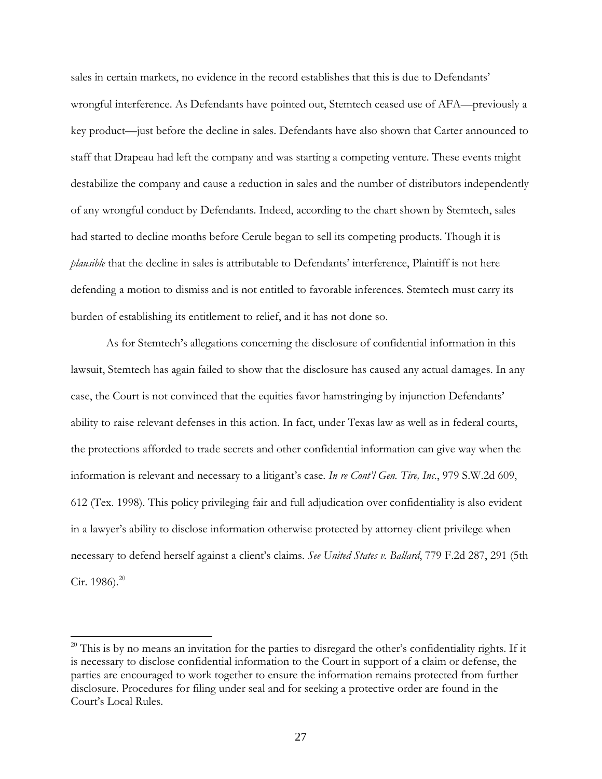sales in certain markets, no evidence in the record establishes that this is due to Defendants' wrongful interference. As Defendants have pointed out, Stemtech ceased use of AFA—previously a key product—just before the decline in sales. Defendants have also shown that Carter announced to staff that Drapeau had left the company and was starting a competing venture. These events might destabilize the company and cause a reduction in sales and the number of distributors independently of any wrongful conduct by Defendants. Indeed, according to the chart shown by Stemtech, sales had started to decline months before Cerule began to sell its competing products. Though it is *plausible* that the decline in sales is attributable to Defendants' interference, Plaintiff is not here defending a motion to dismiss and is not entitled to favorable inferences. Stemtech must carry its burden of establishing its entitlement to relief, and it has not done so.

As for Stemtech's allegations concerning the disclosure of confidential information in this lawsuit, Stemtech has again failed to show that the disclosure has caused any actual damages. In any case, the Court is not convinced that the equities favor hamstringing by injunction Defendants' ability to raise relevant defenses in this action. In fact, under Texas law as well as in federal courts, the protections afforded to trade secrets and other confidential information can give way when the information is relevant and necessary to a litigant's case. *In re Cont'l Gen. Tire, Inc.*, 979 S.W.2d 609, 612 (Tex. 1998). This policy privileging fair and full adjudication over confidentiality is also evident in a lawyer's ability to disclose information otherwise protected by attorney-client privilege when necessary to defend herself against a client's claims. *See United States v. Ballard*, 779 F.2d 287, 291 (5th Cir. 1986). $^{20}$  $^{20}$  $^{20}$ 

<span id="page-26-0"></span> $20$  This is by no means an invitation for the parties to disregard the other's confidentiality rights. If it is necessary to disclose confidential information to the Court in support of a claim or defense, the parties are encouraged to work together to ensure the information remains protected from further disclosure. Procedures for filing under seal and for seeking a protective order are found in the Court's Local Rules.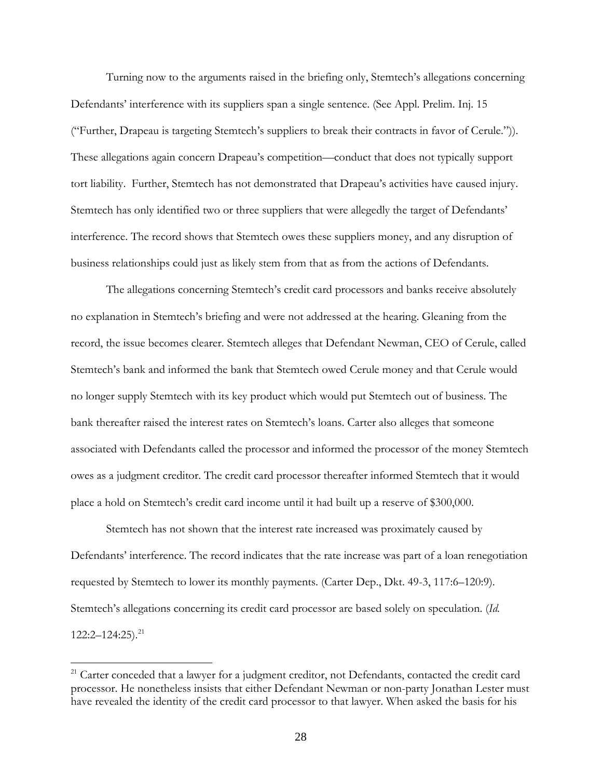Turning now to the arguments raised in the briefing only, Stemtech's allegations concerning Defendants' interference with its suppliers span a single sentence. (See Appl. Prelim. Inj. 15 ("Further, Drapeau is targeting Stemtech's suppliers to break their contracts in favor of Cerule.")). These allegations again concern Drapeau's competition—conduct that does not typically support tort liability. Further, Stemtech has not demonstrated that Drapeau's activities have caused injury. Stemtech has only identified two or three suppliers that were allegedly the target of Defendants' interference. The record shows that Stemtech owes these suppliers money, and any disruption of business relationships could just as likely stem from that as from the actions of Defendants.

The allegations concerning Stemtech's credit card processors and banks receive absolutely no explanation in Stemtech's briefing and were not addressed at the hearing. Gleaning from the record, the issue becomes clearer. Stemtech alleges that Defendant Newman, CEO of Cerule, called Stemtech's bank and informed the bank that Stemtech owed Cerule money and that Cerule would no longer supply Stemtech with its key product which would put Stemtech out of business. The bank thereafter raised the interest rates on Stemtech's loans. Carter also alleges that someone associated with Defendants called the processor and informed the processor of the money Stemtech owes as a judgment creditor. The credit card processor thereafter informed Stemtech that it would place a hold on Stemtech's credit card income until it had built up a reserve of \$300,000.

Stemtech has not shown that the interest rate increased was proximately caused by Defendants' interference. The record indicates that the rate increase was part of a loan renegotiation requested by Stemtech to lower its monthly payments. (Carter Dep., Dkt. 49-3, 117:6–120:9). Stemtech's allegations concerning its credit card processor are based solely on speculation. (*Id.*  $122:2-124:25$ ).<sup>[21](#page-27-0)</sup>

<span id="page-27-0"></span> $21$  Carter conceded that a lawyer for a judgment creditor, not Defendants, contacted the credit card processor. He nonetheless insists that either Defendant Newman or non-party Jonathan Lester must have revealed the identity of the credit card processor to that lawyer. When asked the basis for his